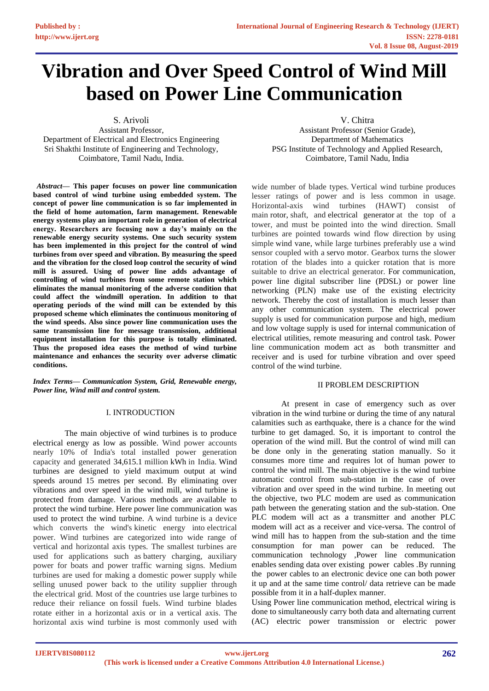# **Vibration and Over Speed Control of Wind Mill based on Power Line Communication**

S. Arivoli

Assistant Professor, Department of Electrical and Electronics Engineering Sri Shakthi Institute of Engineering and Technology, Coimbatore, Tamil Nadu, India.

*Abstract—* **This paper focuses on power line communication based control of wind turbine using embedded system. The concept of power line communication is so far implemented in the field of home automation, farm management. Renewable energy systems play an important role in generation of electrical energy. Researchers are focusing now a day's mainly on the renewable energy security systems. One such security system has been implemented in this project for the control of wind turbines from over speed and vibration. By measuring the speed and the vibration for the closed loop control the security of wind mill is assured. Using of power line adds advantage of controlling of wind turbines from some remote station which eliminates the manual monitoring of the adverse condition that could affect the windmill operation. In addition to that operating periods of the wind mill can be extended by this proposed scheme which eliminates the continuous monitoring of the wind speeds. Also since power line communication uses the same transmission line for message transmission, additional equipment installation for this purpose is totally eliminated. Thus the proposed idea eases the method of wind turbine maintenance and enhances the security over adverse climatic conditions.**

*Index Terms— Communication System, Grid, Renewable energy, Power line, Wind mill and control system.*

## I. INTRODUCTION

The main objective of wind turbines is to produce electrical energy as low as possible. Wind power accounts nearly 10% of India's total installed power generation capacity and generated 34,615.1 million kWh in India. Wind turbines are designed to yield maximum output at wind speeds around 15 metres per second. By eliminating over vibrations and over speed in the wind mill, wind turbine is protected from damage. Various methods are available to protect the wind turbine. Here power line communication was used to protect the wind turbine. A wind turbine is a device which converts the wind's kinetic energy into electrical power. Wind turbines are categorized into wide range of vertical and horizontal axis types. The smallest turbines are used for applications such as battery charging, auxiliary power for boats and power traffic warning signs. Medium turbines are used for making a domestic power supply while selling unused power back to the utility supplier through the electrical grid. Most of the countries use large turbines to reduce their reliance on fossil fuels. Wind turbine blades rotate either in a horizontal axis or in a vertical axis. The horizontal axis wind turbine is most commonly used with

V. Chitra

Assistant Professor (Senior Grade), Department of Mathematics PSG Institute of Technology and Applied Research, Coimbatore, Tamil Nadu, India

wide number of blade types. Vertical wind turbine produces lesser ratings of power and is less common in usage. Horizontal-axis wind turbines (HAWT) consist of main [rotor,](https://en.wikipedia.org/wiki/Rotor_(turbine)) shaft, and [electrical generator](https://en.wikipedia.org/wiki/Electrical_generator) at the top of a tower, and must be pointed into the wind direction. Small turbines are pointed towards wind flow direction by using simple [wind vane,](https://en.wikipedia.org/wiki/Wind_vane) while large turbines preferably use a wind sensor coupled with a [servo motor.](https://en.wikipedia.org/wiki/Servo_motor) Gearbox turns the slower rotation of the blades into a quicker rotation that is more suitable to drive an electrical generator. For communication, power line digital subscriber line (PDSL) or power line networking (PLN) make use of the existing electricity network. Thereby the cost of installation is much lesser than any other communication system. The electrical power supply is used for communication purpose and high, medium and low voltage supply is used for internal communication of electrical utilities, remote measuring and control task. Power line communication modem act as both transmitter and receiver and is used for turbine vibration and over speed control of the wind turbine.

### II PROBLEM DESCRIPTION

At present in case of emergency such as over vibration in the wind turbine or during the time of any natural calamities such as earthquake, there is a chance for the wind turbine to get damaged. So, it is important to control the operation of the wind mill. But the control of wind mill can be done only in the generating station manually. So it consumes more time and requires lot of human power to control the wind mill. The main objective is the wind turbine automatic control from sub-station in the case of over vibration and over speed in the wind turbine. In meeting out the objective, two PLC modem are used as communication path between the generating station and the sub-station. One PLC modem will act as a transmitter and another PLC modem will act as a receiver and vice-versa. The control of wind mill has to happen from the sub-station and the time consumption for man power can be reduced. The communication technology ,Power line communication enables sending data over existing power cables .By running the power cables to an electronic device one can both power it up and at the same time control/ data retrieve can be made possible from it in a half-duplex manner.

Using Power line communication method, electrical wiring is done to simultaneously carry both data and alternating current (AC) electric power transmission or electric power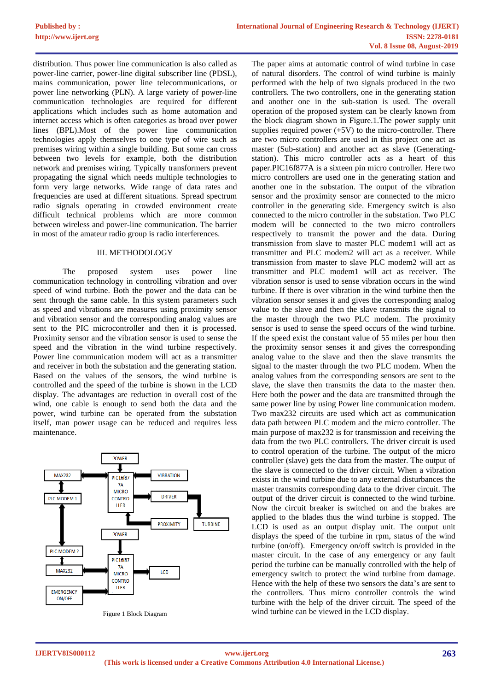distribution. Thus power line communication is also called as power-line carrier, power-line digital subscriber line (PDSL), mains communication, power line telecommunications, or power line networking (PLN). A large variety of power-line communication technologies are required for different applications which includes such as home automation and internet access which is often categories as broad over power lines (BPL).Most of the power line communication technologies apply themselves to one type of wire such as premises wiring within a single building. But some can cross between two levels for example, both the distribution network and premises wiring. Typically transformers prevent propagating the signal which needs multiple technologies to form very large networks. Wide range of data rates and frequencies are used at different situations. Spread spectrum radio signals operating in crowded environment create difficult technical problems which are more common between wireless and power-line communication. The barrier in most of the amateur radio group is radio interferences.

### III. METHODOLOGY

The proposed system uses power line communication technology in controlling vibration and over speed of wind turbine. Both the power and the data can be sent through the same cable. In this system parameters such as speed and vibrations are measures using proximity sensor and vibration sensor and the corresponding analog values are sent to the PIC microcontroller and then it is processed. Proximity sensor and the vibration sensor is used to sense the speed and the vibration in the wind turbine respectively. Power line communication modem will act as a transmitter and receiver in both the substation and the generating station. Based on the values of the sensors, the wind turbine is controlled and the speed of the turbine is shown in the LCD display. The advantages are reduction in overall cost of the wind, one cable is enough to send both the data and the power, wind turbine can be operated from the substation itself, man power usage can be reduced and requires less maintenance.



Figure 1 Block Diagram

The paper aims at automatic control of wind turbine in case of natural disorders. The control of wind turbine is mainly performed with the help of two signals produced in the two controllers. The two controllers, one in the generating station and another one in the sub-station is used. The overall operation of the proposed system can be clearly known from the block diagram shown in Figure.1.The power supply unit supplies required power  $(+5V)$  to the micro-controller. There are two micro controllers are used in this project one act as master (Sub-station) and another act as slave (Generatingstation). This micro controller acts as a heart of this paper.PIC16f877A is a sixteen pin micro controller. Here two micro controllers are used one in the generating station and another one in the substation. The output of the vibration sensor and the proximity sensor are connected to the micro controller in the generating side. Emergency switch is also connected to the micro controller in the substation. Two PLC modem will be connected to the two micro controllers respectively to transmit the power and the data. During transmission from slave to master PLC modem1 will act as transmitter and PLC modem2 will act as a receiver. While transmission from master to slave PLC modem2 will act as transmitter and PLC modem1 will act as receiver. The vibration sensor is used to sense vibration occurs in the wind turbine. If there is over vibration in the wind turbine then the vibration sensor senses it and gives the corresponding analog value to the slave and then the slave transmits the signal to the master through the two PLC modem. The proximity sensor is used to sense the speed occurs of the wind turbine. If the speed exist the constant value of 55 miles per hour then the proximity sensor senses it and gives the corresponding analog value to the slave and then the slave transmits the signal to the master through the two PLC modem. When the analog values from the corresponding sensors are sent to the slave, the slave then transmits the data to the master then. Here both the power and the data are transmitted through the same power line by using Power line communication modem. Two max232 circuits are used which act as communication data path between PLC modem and the micro controller. The main purpose of max232 is for transmission and receiving the data from the two PLC controllers. The driver circuit is used to control operation of the turbine. The output of the micro controller (slave) gets the data from the master. The output of the slave is connected to the driver circuit. When a vibration exists in the wind turbine due to any external disturbances the master transmits corresponding data to the driver circuit. The output of the driver circuit is connected to the wind turbine. Now the circuit breaker is switched on and the brakes are applied to the blades thus the wind turbine is stopped. The LCD is used as an output display unit. The output unit displays the speed of the turbine in rpm, status of the wind turbine (on/off). Emergency on/off switch is provided in the master circuit. In the case of any emergency or any fault period the turbine can be manually controlled with the help of emergency switch to protect the wind turbine from damage. Hence with the help of these two sensors the data's are sent to the controllers. Thus micro controller controls the wind turbine with the help of the driver circuit. The speed of the wind turbine can be viewed in the LCD display.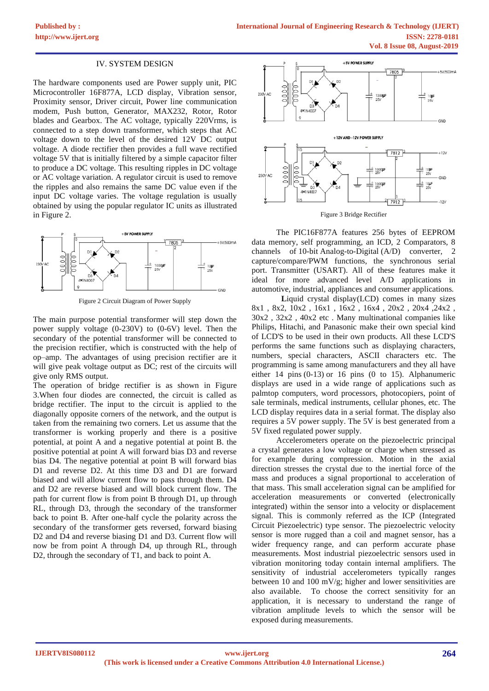### IV. SYSTEM DESIGN

The hardware components used are Power supply unit, PIC Microcontroller 16F877A, LCD display, Vibration sensor, Proximity sensor, Driver circuit, Power line communication modem, Push button, Generator, MAX232, Rotor, Rotor blades and Gearbox. The AC voltage, typically 220Vrms, is connected to a step down transformer, which steps that AC voltage down to the level of the desired 12V DC output voltage. A diode rectifier then provides a full wave rectified voltage 5V that is initially filtered by a simple capacitor filter to produce a DC voltage. This resulting ripples in DC voltage or AC voltage variation. A regulator circuit is used to remove the ripples and also remains the same DC value even if the input DC voltage varies. The voltage regulation is usually obtained by using the popular regulator IC units as illustrated in Figure 2.



Figure 2 Circuit Diagram of Power Supply

The main purpose potential transformer will step down the power supply voltage (0-230V) to (0-6V) level. Then the secondary of the potential transformer will be connected to the precision rectifier, which is constructed with the help of op–amp. The advantages of using precision rectifier are it will give peak voltage output as DC; rest of the circuits will give only RMS output.

The operation of bridge rectifier is as shown in Figure 3.When four diodes are connected, the circuit is called as bridge rectifier. The input to the circuit is applied to the diagonally opposite corners of the network, and the output is taken from the remaining two corners. Let us assume that the transformer is working properly and there is a positive potential, at point A and a negative potential at point B. the positive potential at point A will forward bias D3 and reverse bias D4. The negative potential at point B will forward bias D1 and reverse D2. At this time D3 and D1 are forward biased and will allow current flow to pass through them. D4 and D2 are reverse biased and will block current flow. The path for current flow is from point B through D1, up through RL, through D3, through the secondary of the transformer back to point B. After one-half cycle the polarity across the secondary of the transformer gets reversed, forward biasing D<sub>2</sub> and D<sub>4</sub> and reverse biasing D<sub>1</sub> and D<sub>3</sub>. Current flow will now be from point A through D4, up through RL, through D2, through the secondary of T1, and back to point A.



Figure 3 Bridge Rectifier

The PIC16F877A features 256 bytes of EEPROM data memory, self programming, an ICD, 2 Comparators, 8 channels of 10-bit Analog-to-Digital (A/D) converter, 2 capture/compare/PWM functions, the synchronous serial port. Transmitter (USART). All of these features make it ideal for more advanced level A/D applications in automotive, industrial, appliances and consumer applications.

Liquid crystal display(LCD) comes in many sizes 8x1 , 8x2, 10x2 , 16x1 , 16x2 , 16x4 , 20x2 , 20x4 ,24x2 , 30x2 , 32x2 , 40x2 etc . Many multinational companies like Philips, Hitachi, and Panasonic make their own special kind of LCD'S to be used in their own products. All these LCD'S performs the same functions such as displaying characters, numbers, special characters, ASCII characters etc. The programming is same among manufacturers and they all have either 14 pins (0-13) or 16 pins (0 to 15). Alphanumeric displays are used in a wide range of applications such as palmtop computers, word processors, photocopiers, point of sale terminals, medical instruments, cellular phones, etc. The LCD display requires data in a serial format. The display also requires a 5V power supply. The 5V is best generated from a 5V fixed regulated power supply.

Accelerometers operate on the piezoelectric principal a crystal generates a low voltage or charge when stressed as for example during compression. Motion in the axial direction stresses the crystal due to the inertial force of the mass and produces a signal proportional to acceleration of that mass. This small acceleration signal can be amplified for acceleration measurements or converted (electronically integrated) within the sensor into a velocity or displacement signal. This is commonly referred as the ICP (Integrated Circuit Piezoelectric) type sensor. The piezoelectric velocity sensor is more rugged than a coil and magnet sensor, has a wider frequency range, and can perform accurate phase measurements. Most industrial piezoelectric sensors used in vibration monitoring today contain internal amplifiers. The sensitivity of industrial accelerometers typically ranges between 10 and 100 mV/g; higher and lower sensitivities are also available. To choose the correct sensitivity for an application, it is necessary to understand the range of vibration amplitude levels to which the sensor will be exposed during measurements.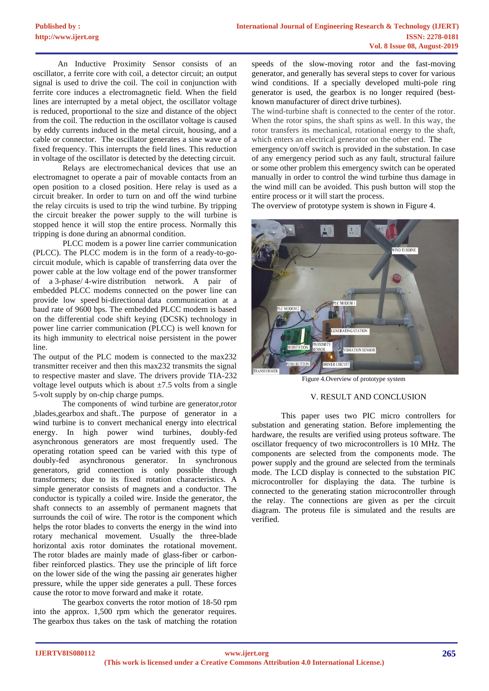An Inductive Proximity Sensor consists of an oscillator, a ferrite core with coil, a detector circuit; an output signal is used to drive the coil. The coil in conjunction with ferrite core induces a electromagnetic field. When the field lines are interrupted by a metal object, the oscillator voltage is reduced, proportional to the size and distance of the object from the coil. The reduction in the oscillator voltage is caused by eddy currents induced in the metal circuit, housing, and a cable or connector. The oscillator generates a sine wave of a fixed frequency. This interrupts the field lines. This reduction in voltage of the oscillator is detected by the detecting circuit.

Relays are electromechanical devices that use an electromagnet to operate a pair of movable contacts from an open position to a closed position. Here relay is used as a circuit breaker. In order to turn on and off the wind turbine the relay circuits is used to trip the wind turbine. By tripping the circuit breaker the power supply to the will turbine is stopped hence it will stop the entire process. Normally this tripping is done during an abnormal condition.

PLCC modem is a power line carrier communication (PLCC). The PLCC modem is in the form of a ready-to-gocircuit module, which is capable of transferring data over the power cable at the low voltage end of the power transformer of a 3-phase/ 4-wire distribution network. A pair of embedded PLCC modems connected on the power line can provide low speed bi-directional data communication at a baud rate of 9600 bps. The embedded PLCC modem is based on the differential code shift keying (DCSK) technology in power line carrier communication (PLCC) is well known for its high immunity to electrical noise persistent in the power line.

The output of the PLC modem is connected to the max232 transmitter receiver and then this max232 transmits the signal to respective master and slave. The drivers provide TIA-232 voltage level outputs which is about  $\pm 7.5$  volts from a single 5-volt supply by on-chip [charge pumps.](https://en.wikipedia.org/wiki/Charge_pump)

The components of wind turbine are generator,rotor ,blades,gearbox and shaft..The purpose of generator in a wind turbine is to convert mechanical energy into electrical energy. In high power wind turbines, doubly-fed asynchronous generators are most frequently used. The operating rotation speed can be varied with this type of doubly-fed asynchronous generator. In synchronous generators, grid connection is only possible through transformers; due to its fixed rotation characteristics. A simple generator consists of magnets and a conductor. The conductor is typically a coiled wire. Inside the generator, the shaft connects to an assembly of permanent magnets that surrounds the coil of wire. The rotor is the component which helps the rotor blades to converts the energy in the wind into rotary mechanical movement. Usually the three-blade horizontal axis rotor dominates the rotational movement. The rotor blades are mainly made of glass-fiber or carbonfiber reinforced plastics. They use the principle of lift force on the lower side of the wing the passing air generates higher pressure, while the upper side generates a pull. These forces cause the rotor to move forward and make it rotate.

The gearbox converts the rotor motion of 18-50 rpm into the approx. 1,500 rpm which the generator requires. The gearbox thus takes on the task of matching the rotation

speeds of the slow-moving rotor and the fast-moving generator, and generally has several steps to cover for various wind conditions. If a specially developed multi-pole ring generator is used, the gearbox is no longer required (bestknown manufacturer of direct drive turbines).

The wind-turbine shaft is connected to the center of the rotor. When the rotor spins, the shaft spins as well. In this way, the rotor transfers its mechanical, rotational energy to the shaft, which enters an electrical generator on the other end. The

emergency on/off switch is provided in the substation. In case of any emergency period such as any fault, structural failure or some other problem this emergency switch can be operated manually in order to control the wind turbine thus damage in the wind mill can be avoided. This push button will stop the entire process or it will start the process.

The overview of prototype system is shown in Figure 4.



Figure 4.Overview of prototype system

### V. RESULT AND CONCLUSION

This paper uses two PIC micro controllers for substation and generating station. Before implementing the hardware, the results are verified using proteus software. The oscillator frequency of two microcontrollers is 10 MHz. The components are selected from the components mode. The power supply and the ground are selected from the terminals mode. The LCD display is connected to the substation PIC microcontroller for displaying the data. The turbine is connected to the generating station microcontroller through the relay. The connections are given as per the circuit diagram. The proteus file is simulated and the results are verified.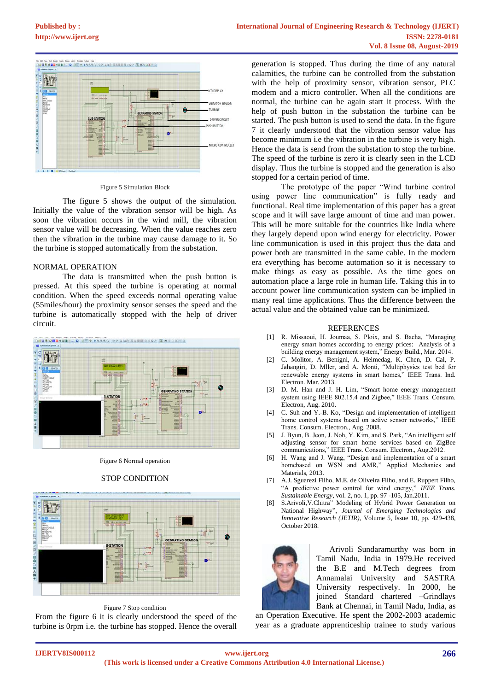# **[Published by :](www.ijert.org)**



### Figure 5 Simulation Block

The figure 5 shows the output of the simulation. Initially the value of the vibration sensor will be high. As soon the vibration occurs in the wind mill, the vibration sensor value will be decreasing. When the value reaches zero then the vibration in the turbine may cause damage to it. So the turbine is stopped automatically from the substation.

### NORMAL OPERATION

The data is transmitted when the push button is pressed. At this speed the turbine is operating at normal condition. When the speed exceeds normal operating value (55miles/hour) the proximity sensor senses the speed and the turbine is automatically stopped with the help of driver circuit.



Figure 6 Normal operation

### STOP CONDITION



Figure 7 Stop condition

From the figure 6 it is clearly understood the speed of the turbine is 0rpm i.e. the turbine has stopped. Hence the overall

generation is stopped. Thus during the time of any natural calamities, the turbine can be controlled from the substation with the help of proximity sensor, vibration sensor, PLC modem and a micro controller. When all the conditions are normal, the turbine can be again start it process. With the help of push button in the substation the turbine can be started. The push button is used to send the data. In the figure 7 it clearly understood that the vibration sensor value has become minimum i.e the vibration in the turbine is very high. Hence the data is send from the substation to stop the turbine. The speed of the turbine is zero it is clearly seen in the LCD display. Thus the turbine is stopped and the generation is also stopped for a certain period of time.

The prototype of the paper "Wind turbine control using power line communication" is fully ready and functional. Real time implementation of this paper has a great scope and it will save large amount of time and man power. This will be more suitable for the countries like India where they largely depend upon wind energy for electricity. Power line communication is used in this project thus the data and power both are transmitted in the same cable. In the modern era everything has become automation so it is necessary to make things as easy as possible. As the time goes on automation place a large role in human life. Taking this in to account power line communication system can be implied in many real time applications. Thus the difference between the actual value and the obtained value can be minimized.

#### REFERENCES

- [1] R. Missaoui, H. Joumaa, S. Ploix, and S. Bacha, "Managing energy smart homes according to energy prices: Analysis of a building energy management system," Energy Build., Mar. 2014.
- [2] C. Molitor, A. Benigni, A. Helmedag, K. Chen, D. Cal, P. Jahangiri, D. Mller, and A. Monti, "Multiphysics test bed for renewable energy systems in smart homes," IEEE Trans. Ind. Electron. Mar. 2013.
- [3] D. M. Han and J. H. Lim, "Smart home energy management system using IEEE 802.15.4 and Zigbee," IEEE Trans. Consum. Electron, Aug. 2010.
- [4] C. Suh and Y.-B. Ko, "Design and implementation of intelligent home control systems based on active sensor networks," IEEE Trans. Consum. Electron., Aug. 2008.
- [5] J. Byun, B. Jeon, J. Noh, Y. Kim, and S. Park, "An intelligent self adjusting sensor for smart home services based on ZigBee communications," IEEE Trans. Consum. Electron., Aug.2012.
- [6] H. Wang and J. Wang, "Design and implementation of a smart homebased on WSN and AMR," Applied Mechanics and Materials, 2013.
- [7] A.J. Sguarezi Filho, M.E. de Oliveira Filho, and E. Ruppert Filho, "A predictive power control for wind energy," *IEEE Trans. Sustainable Energy*, vol. 2, no. 1, pp. 97 -105, Jan.2011.
- [8] S.Arivoli,V.Chitra" Modeling of Hybrid Power Generation on National Highway", *Journal of Emerging Technologies and Innovative Research (JETIR)*, Volume 5, Issue 10, pp. 429-438, October 2018.



 Arivoli Sundaramurthy was born in Tamil Nadu, India in 1979.He received the B.E and M.Tech degrees from Annamalai University and SASTRA University respectively. In 2000, he joined Standard chartered –Grindlays Bank at Chennai, in Tamil Nadu, India, as

an Operation Executive. He spent the 2002-2003 academic year as a graduate apprenticeship trainee to study various